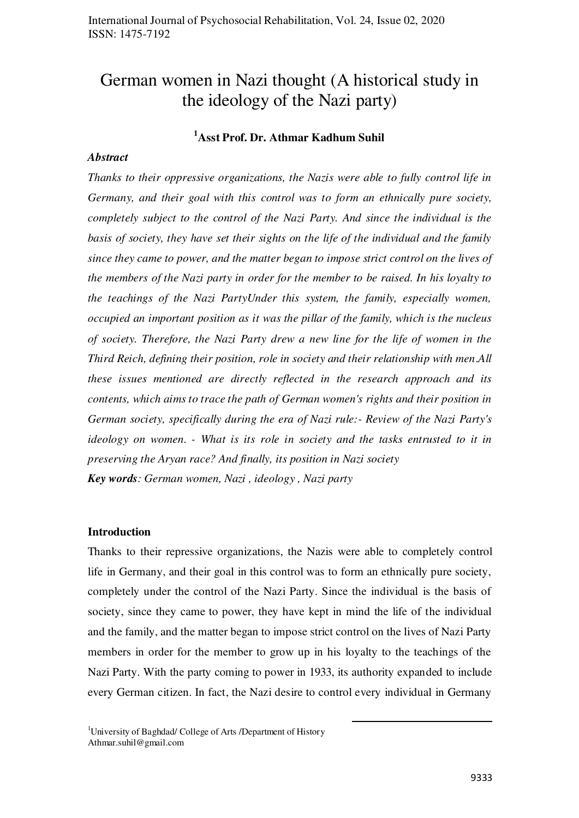# German women in Nazi thought (A historical study in the ideology of the Nazi party)

## **<sup>1</sup>Asst Prof. Dr. Athmar Kadhum Suhil**

#### *Abstract*

*Thanks to their oppressive organizations, the Nazis were able to fully control life in Germany, and their goal with this control was to form an ethnically pure society, completely subject to the control of the Nazi Party. And since the individual is the basis of society, they have set their sights on the life of the individual and the family since they came to power, and the matter began to impose strict control on the lives of the members of the Nazi party in order for the member to be raised. In his loyalty to the teachings of the Nazi PartyUnder this system, the family, especially women, occupied an important position as it was the pillar of the family, which is the nucleus of society. Therefore, the Nazi Party drew a new line for the life of women in the Third Reich, defining their position, role in society and their relationship with men*.*All these issues mentioned are directly reflected in the research approach and its contents, which aims to trace the path of German women's rights and their position in German society, specifically during the era of Nazi rule:- Review of the Nazi Party's ideology on women*. *- What is its role in society and the tasks entrusted to it in preserving the Aryan race? And finally, its position in Nazi society Key words: German women, Nazi , ideology , Nazi party* 

#### **Introduction**

Thanks to their repressive organizations, the Nazis were able to completely control life in Germany, and their goal in this control was to form an ethnically pure society, completely under the control of the Nazi Party. Since the individual is the basis of society, since they came to power, they have kept in mind the life of the individual and the family, and the matter began to impose strict control on the lives of Nazi Party members in order for the member to grow up in his loyalty to the teachings of the Nazi Party. With the party coming to power in 1933, its authority expanded to include every German citizen. In fact, the Nazi desire to control every individual in Germany

.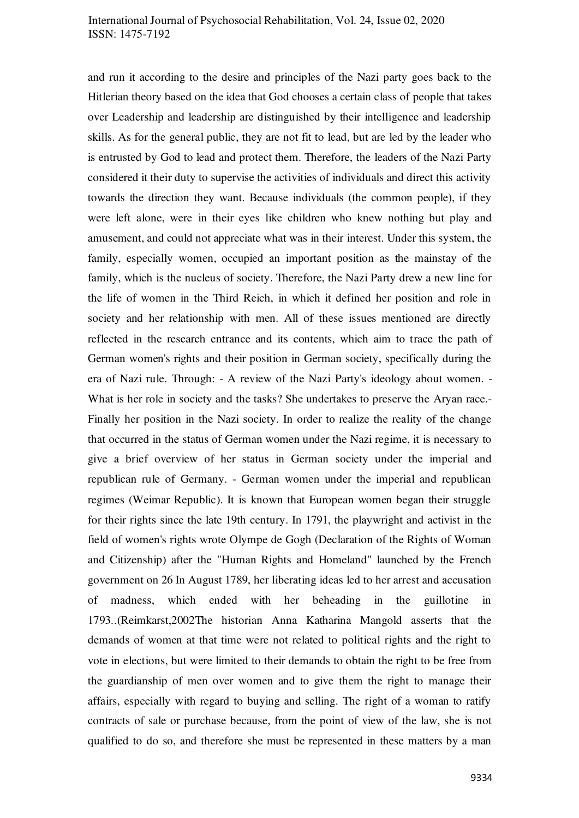and run it according to the desire and principles of the Nazi party goes back to the Hitlerian theory based on the idea that God chooses a certain class of people that takes over Leadership and leadership are distinguished by their intelligence and leadership skills. As for the general public, they are not fit to lead, but are led by the leader who is entrusted by God to lead and protect them. Therefore, the leaders of the Nazi Party considered it their duty to supervise the activities of individuals and direct this activity towards the direction they want. Because individuals (the common people), if they were left alone, were in their eyes like children who knew nothing but play and amusement, and could not appreciate what was in their interest. Under this system, the family, especially women, occupied an important position as the mainstay of the family, which is the nucleus of society. Therefore, the Nazi Party drew a new line for the life of women in the Third Reich, in which it defined her position and role in society and her relationship with men. All of these issues mentioned are directly reflected in the research entrance and its contents, which aim to trace the path of German women's rights and their position in German society, specifically during the era of Nazi rule. Through: - A review of the Nazi Party's ideology about women. - What is her role in society and the tasks? She undertakes to preserve the Aryan race. Finally her position in the Nazi society. In order to realize the reality of the change that occurred in the status of German women under the Nazi regime, it is necessary to give a brief overview of her status in German society under the imperial and republican rule of Germany. - German women under the imperial and republican regimes (Weimar Republic). It is known that European women began their struggle for their rights since the late 19th century. In 1791, the playwright and activist in the field of women's rights wrote Olympe de Gogh (Declaration of the Rights of Woman and Citizenship) after the "Human Rights and Homeland" launched by the French government on 26 In August 1789, her liberating ideas led to her arrest and accusation of madness, which ended with her beheading in the guillotine in 1793..(Reimkarst,2002The historian Anna Katharina Mangold asserts that the demands of women at that time were not related to political rights and the right to vote in elections, but were limited to their demands to obtain the right to be free from the guardianship of men over women and to give them the right to manage their affairs, especially with regard to buying and selling. The right of a woman to ratify contracts of sale or purchase because, from the point of view of the law, she is not qualified to do so, and therefore she must be represented in these matters by a man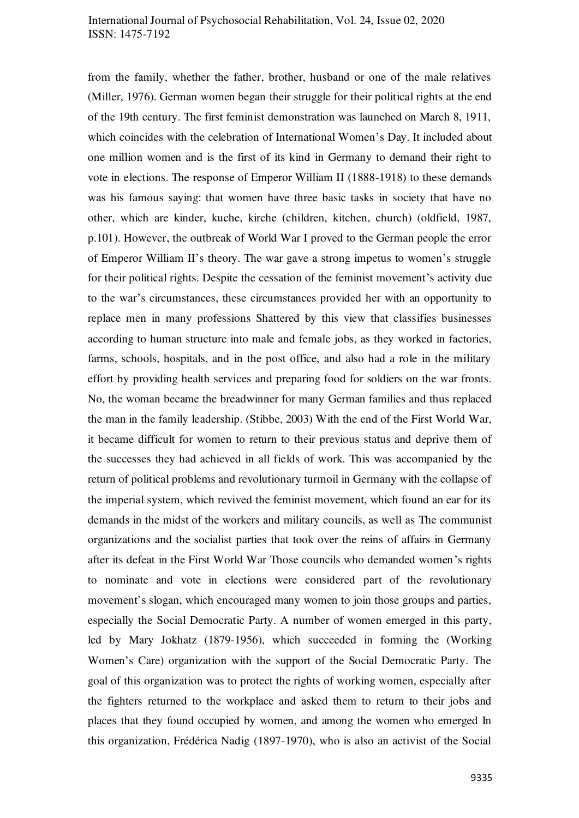from the family, whether the father, brother, husband or one of the male relatives (Miller, 1976). German women began their struggle for their political rights at the end of the 19th century. The first feminist demonstration was launched on March 8, 1911, which coincides with the celebration of International Women's Day. It included about one million women and is the first of its kind in Germany to demand their right to vote in elections. The response of Emperor William II (1888-1918) to these demands was his famous saying: that women have three basic tasks in society that have no other, which are kinder, kuche, kirche (children, kitchen, church) (oldfield, 1987, p.101). However, the outbreak of World War I proved to the German people the error of Emperor William II's theory. The war gave a strong impetus to women's struggle for their political rights. Despite the cessation of the feminist movement's activity due to the war's circumstances, these circumstances provided her with an opportunity to replace men in many professions Shattered by this view that classifies businesses according to human structure into male and female jobs, as they worked in factories, farms, schools, hospitals, and in the post office, and also had a role in the military effort by providing health services and preparing food for soldiers on the war fronts. No, the woman became the breadwinner for many German families and thus replaced the man in the family leadership. (Stibbe, 2003) With the end of the First World War, it became difficult for women to return to their previous status and deprive them of the successes they had achieved in all fields of work. This was accompanied by the return of political problems and revolutionary turmoil in Germany with the collapse of the imperial system, which revived the feminist movement, which found an ear for its demands in the midst of the workers and military councils, as well as The communist organizations and the socialist parties that took over the reins of affairs in Germany after its defeat in the First World War Those councils who demanded women's rights to nominate and vote in elections were considered part of the revolutionary movement's slogan, which encouraged many women to join those groups and parties, especially the Social Democratic Party. A number of women emerged in this party, led by Mary Jokhatz (1879-1956), which succeeded in forming the (Working Women's Care) organization with the support of the Social Democratic Party. The goal of this organization was to protect the rights of working women, especially after the fighters returned to the workplace and asked them to return to their jobs and places that they found occupied by women, and among the women who emerged In this organization, Frédérica Nadig (1897-1970), who is also an activist of the Social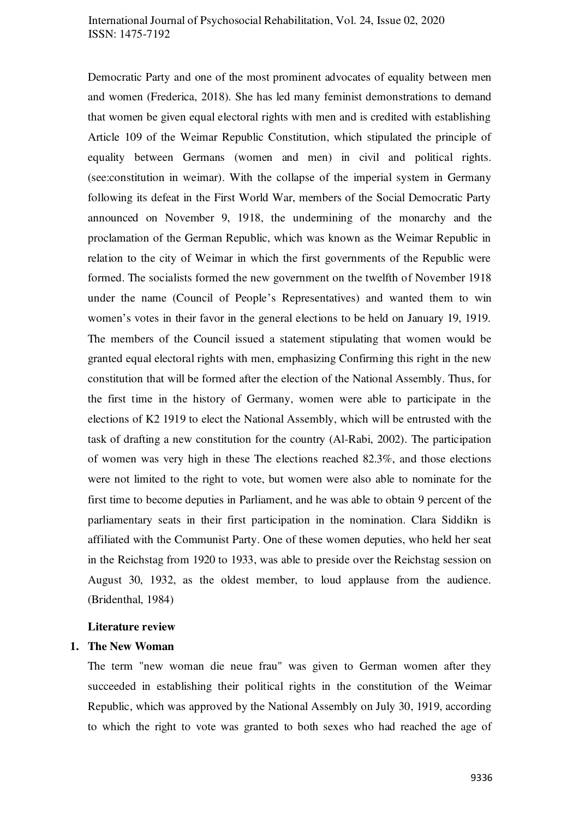Democratic Party and one of the most prominent advocates of equality between men and women (Frederica, 2018). She has led many feminist demonstrations to demand that women be given equal electoral rights with men and is credited with establishing Article 109 of the Weimar Republic Constitution, which stipulated the principle of equality between Germans (women and men) in civil and political rights. (see:constitution in weimar). With the collapse of the imperial system in Germany following its defeat in the First World War, members of the Social Democratic Party announced on November 9, 1918, the undermining of the monarchy and the proclamation of the German Republic, which was known as the Weimar Republic in relation to the city of Weimar in which the first governments of the Republic were formed. The socialists formed the new government on the twelfth of November 1918 under the name (Council of People's Representatives) and wanted them to win women's votes in their favor in the general elections to be held on January 19, 1919. The members of the Council issued a statement stipulating that women would be granted equal electoral rights with men, emphasizing Confirming this right in the new constitution that will be formed after the election of the National Assembly. Thus, for the first time in the history of Germany, women were able to participate in the elections of K2 1919 to elect the National Assembly, which will be entrusted with the task of drafting a new constitution for the country (Al-Rabi, 2002). The participation of women was very high in these The elections reached 82.3%, and those elections were not limited to the right to vote, but women were also able to nominate for the first time to become deputies in Parliament, and he was able to obtain 9 percent of the parliamentary seats in their first participation in the nomination. Clara Siddikn is affiliated with the Communist Party. One of these women deputies, who held her seat in the Reichstag from 1920 to 1933, was able to preside over the Reichstag session on August 30, 1932, as the oldest member, to loud applause from the audience. (Bridenthal, 1984)

#### **Literature review**

#### **1. The New Woman**

The term "new woman die neue frau" was given to German women after they succeeded in establishing their political rights in the constitution of the Weimar Republic, which was approved by the National Assembly on July 30, 1919, according to which the right to vote was granted to both sexes who had reached the age of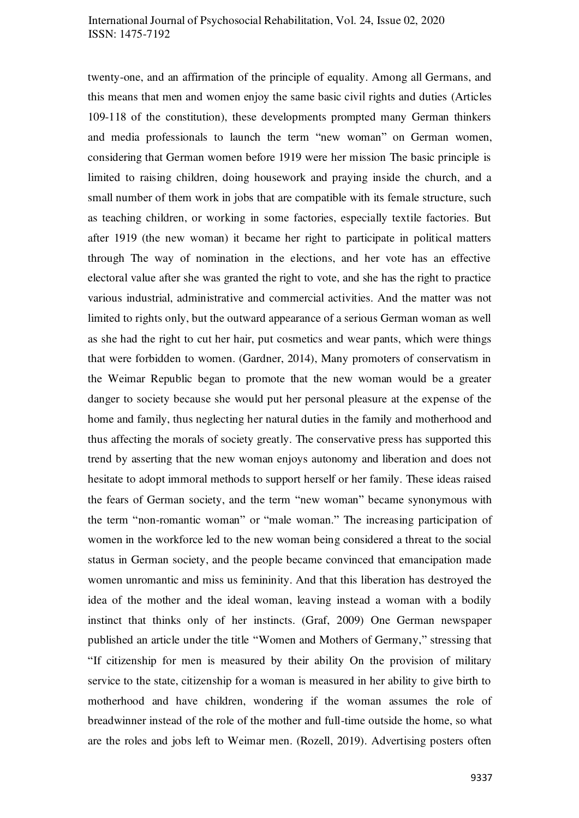twenty-one, and an affirmation of the principle of equality. Among all Germans, and this means that men and women enjoy the same basic civil rights and duties (Articles 109-118 of the constitution), these developments prompted many German thinkers and media professionals to launch the term "new woman" on German women, considering that German women before 1919 were her mission The basic principle is limited to raising children, doing housework and praying inside the church, and a small number of them work in jobs that are compatible with its female structure, such as teaching children, or working in some factories, especially textile factories. But after 1919 (the new woman) it became her right to participate in political matters through The way of nomination in the elections, and her vote has an effective electoral value after she was granted the right to vote, and she has the right to practice various industrial, administrative and commercial activities. And the matter was not limited to rights only, but the outward appearance of a serious German woman as well as she had the right to cut her hair, put cosmetics and wear pants, which were things that were forbidden to women. (Gardner, 2014), Many promoters of conservatism in the Weimar Republic began to promote that the new woman would be a greater danger to society because she would put her personal pleasure at the expense of the home and family, thus neglecting her natural duties in the family and motherhood and thus affecting the morals of society greatly. The conservative press has supported this trend by asserting that the new woman enjoys autonomy and liberation and does not hesitate to adopt immoral methods to support herself or her family. These ideas raised the fears of German society, and the term "new woman" became synonymous with the term "non-romantic woman" or "male woman." The increasing participation of women in the workforce led to the new woman being considered a threat to the social status in German society, and the people became convinced that emancipation made women unromantic and miss us femininity. And that this liberation has destroyed the idea of the mother and the ideal woman, leaving instead a woman with a bodily instinct that thinks only of her instincts. (Graf, 2009) One German newspaper published an article under the title "Women and Mothers of Germany," stressing that "If citizenship for men is measured by their ability On the provision of military service to the state, citizenship for a woman is measured in her ability to give birth to motherhood and have children, wondering if the woman assumes the role of breadwinner instead of the role of the mother and full-time outside the home, so what are the roles and jobs left to Weimar men. (Rozell, 2019). Advertising posters often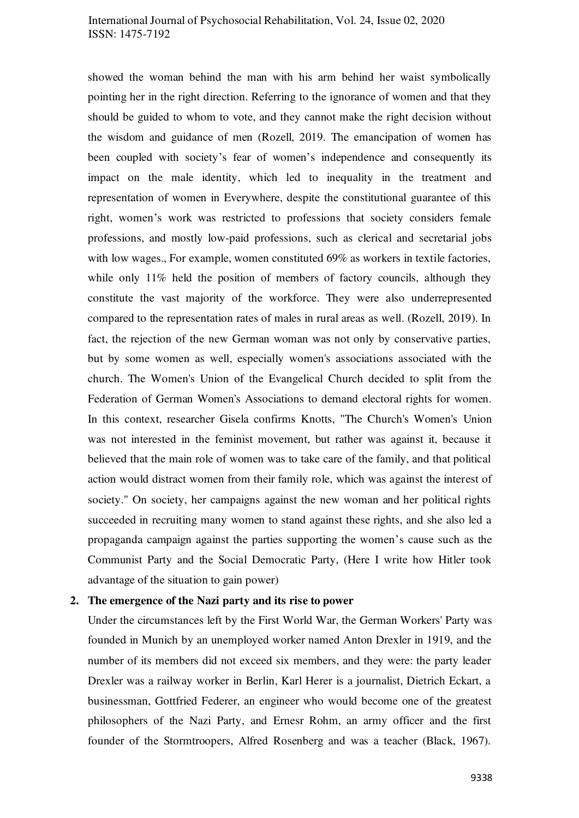showed the woman behind the man with his arm behind her waist symbolically pointing her in the right direction. Referring to the ignorance of women and that they should be guided to whom to vote, and they cannot make the right decision without the wisdom and guidance of men (Rozell, 2019. The emancipation of women has been coupled with society's fear of women's independence and consequently its impact on the male identity, which led to inequality in the treatment and representation of women in Everywhere, despite the constitutional guarantee of this right, women's work was restricted to professions that society considers female professions, and mostly low-paid professions, such as clerical and secretarial jobs with low wages., For example, women constituted 69% as workers in textile factories, while only 11% held the position of members of factory councils, although they constitute the vast majority of the workforce. They were also underrepresented compared to the representation rates of males in rural areas as well. (Rozell, 2019). In fact, the rejection of the new German woman was not only by conservative parties, but by some women as well, especially women's associations associated with the church. The Women's Union of the Evangelical Church decided to split from the Federation of German Women's Associations to demand electoral rights for women. In this context, researcher Gisela confirms Knotts, "The Church's Women's Union was not interested in the feminist movement, but rather was against it, because it believed that the main role of women was to take care of the family, and that political action would distract women from their family role, which was against the interest of society." On society, her campaigns against the new woman and her political rights succeeded in recruiting many women to stand against these rights, and she also led a propaganda campaign against the parties supporting the women's cause such as the Communist Party and the Social Democratic Party, (Here I write how Hitler took advantage of the situation to gain power)

#### **2. The emergence of the Nazi party and its rise to power**

Under the circumstances left by the First World War, the German Workers' Party was founded in Munich by an unemployed worker named Anton Drexler in 1919, and the number of its members did not exceed six members, and they were: the party leader Drexler was a railway worker in Berlin, Karl Herer is a journalist, Dietrich Eckart, a businessman, Gottfried Federer, an engineer who would become one of the greatest philosophers of the Nazi Party, and Ernesr Rohm, an army officer and the first founder of the Stormtroopers, Alfred Rosenberg and was a teacher (Black, 1967).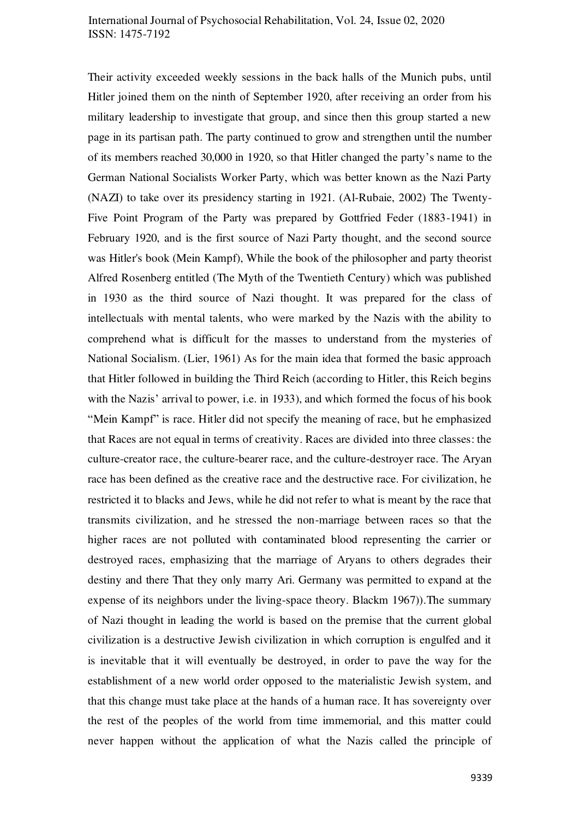Their activity exceeded weekly sessions in the back halls of the Munich pubs, until Hitler joined them on the ninth of September 1920, after receiving an order from his military leadership to investigate that group, and since then this group started a new page in its partisan path. The party continued to grow and strengthen until the number of its members reached 30,000 in 1920, so that Hitler changed the party's name to the German National Socialists Worker Party, which was better known as the Nazi Party (NAZI) to take over its presidency starting in 1921. (Al-Rubaie, 2002) The Twenty-Five Point Program of the Party was prepared by Gottfried Feder (1883-1941) in February 1920, and is the first source of Nazi Party thought, and the second source was Hitler's book (Mein Kampf), While the book of the philosopher and party theorist Alfred Rosenberg entitled (The Myth of the Twentieth Century) which was published in 1930 as the third source of Nazi thought. It was prepared for the class of intellectuals with mental talents, who were marked by the Nazis with the ability to comprehend what is difficult for the masses to understand from the mysteries of National Socialism. (Lier, 1961) As for the main idea that formed the basic approach that Hitler followed in building the Third Reich (according to Hitler, this Reich begins with the Nazis' arrival to power, i.e. in 1933), and which formed the focus of his book "Mein Kampf" is race. Hitler did not specify the meaning of race, but he emphasized that Races are not equal in terms of creativity. Races are divided into three classes: the culture-creator race, the culture-bearer race, and the culture-destroyer race. The Aryan race has been defined as the creative race and the destructive race. For civilization, he restricted it to blacks and Jews, while he did not refer to what is meant by the race that transmits civilization, and he stressed the non-marriage between races so that the higher races are not polluted with contaminated blood representing the carrier or destroyed races, emphasizing that the marriage of Aryans to others degrades their destiny and there That they only marry Ari. Germany was permitted to expand at the expense of its neighbors under the living-space theory. Blackm 1967)).The summary of Nazi thought in leading the world is based on the premise that the current global civilization is a destructive Jewish civilization in which corruption is engulfed and it is inevitable that it will eventually be destroyed, in order to pave the way for the establishment of a new world order opposed to the materialistic Jewish system, and that this change must take place at the hands of a human race. It has sovereignty over the rest of the peoples of the world from time immemorial, and this matter could never happen without the application of what the Nazis called the principle of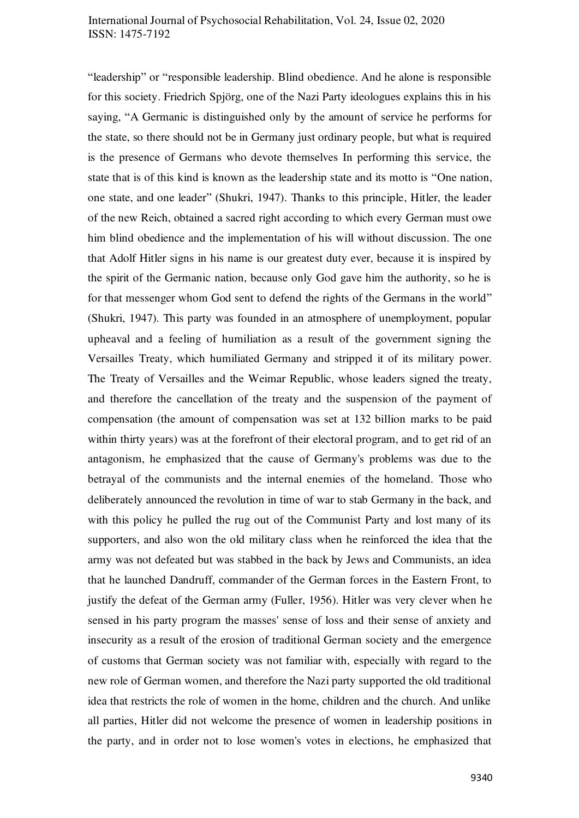"leadership" or "responsible leadership. Blind obedience. And he alone is responsible for this society. Friedrich Spjörg, one of the Nazi Party ideologues explains this in his saying, "A Germanic is distinguished only by the amount of service he performs for the state, so there should not be in Germany just ordinary people, but what is required is the presence of Germans who devote themselves In performing this service, the state that is of this kind is known as the leadership state and its motto is "One nation, one state, and one leader" (Shukri, 1947). Thanks to this principle, Hitler, the leader of the new Reich, obtained a sacred right according to which every German must owe him blind obedience and the implementation of his will without discussion. The one that Adolf Hitler signs in his name is our greatest duty ever, because it is inspired by the spirit of the Germanic nation, because only God gave him the authority, so he is for that messenger whom God sent to defend the rights of the Germans in the world" (Shukri, 1947). This party was founded in an atmosphere of unemployment, popular upheaval and a feeling of humiliation as a result of the government signing the Versailles Treaty, which humiliated Germany and stripped it of its military power. The Treaty of Versailles and the Weimar Republic, whose leaders signed the treaty, and therefore the cancellation of the treaty and the suspension of the payment of compensation (the amount of compensation was set at 132 billion marks to be paid within thirty years) was at the forefront of their electoral program, and to get rid of an antagonism, he emphasized that the cause of Germany's problems was due to the betrayal of the communists and the internal enemies of the homeland. Those who deliberately announced the revolution in time of war to stab Germany in the back, and with this policy he pulled the rug out of the Communist Party and lost many of its supporters, and also won the old military class when he reinforced the idea that the army was not defeated but was stabbed in the back by Jews and Communists, an idea that he launched Dandruff, commander of the German forces in the Eastern Front, to justify the defeat of the German army (Fuller, 1956). Hitler was very clever when he sensed in his party program the masses' sense of loss and their sense of anxiety and insecurity as a result of the erosion of traditional German society and the emergence of customs that German society was not familiar with, especially with regard to the new role of German women, and therefore the Nazi party supported the old traditional idea that restricts the role of women in the home, children and the church. And unlike all parties, Hitler did not welcome the presence of women in leadership positions in the party, and in order not to lose women's votes in elections, he emphasized that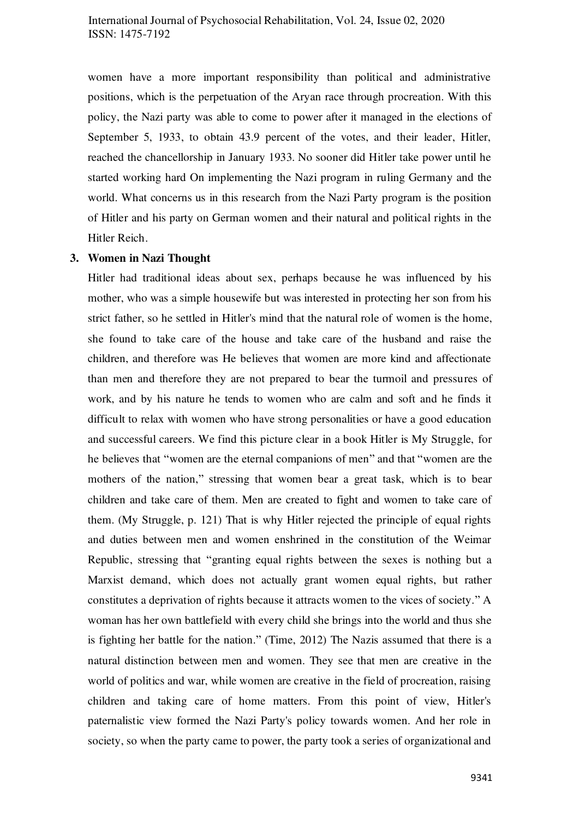women have a more important responsibility than political and administrative positions, which is the perpetuation of the Aryan race through procreation. With this policy, the Nazi party was able to come to power after it managed in the elections of September 5, 1933, to obtain 43.9 percent of the votes, and their leader, Hitler, reached the chancellorship in January 1933. No sooner did Hitler take power until he started working hard On implementing the Nazi program in ruling Germany and the world. What concerns us in this research from the Nazi Party program is the position of Hitler and his party on German women and their natural and political rights in the Hitler Reich.

#### **3. Women in Nazi Thought**

Hitler had traditional ideas about sex, perhaps because he was influenced by his mother, who was a simple housewife but was interested in protecting her son from his strict father, so he settled in Hitler's mind that the natural role of women is the home, she found to take care of the house and take care of the husband and raise the children, and therefore was He believes that women are more kind and affectionate than men and therefore they are not prepared to bear the turmoil and pressures of work, and by his nature he tends to women who are calm and soft and he finds it difficult to relax with women who have strong personalities or have a good education and successful careers. We find this picture clear in a book Hitler is My Struggle, for he believes that "women are the eternal companions of men" and that "women are the mothers of the nation," stressing that women bear a great task, which is to bear children and take care of them. Men are created to fight and women to take care of them. (My Struggle, p. 121) That is why Hitler rejected the principle of equal rights and duties between men and women enshrined in the constitution of the Weimar Republic, stressing that "granting equal rights between the sexes is nothing but a Marxist demand, which does not actually grant women equal rights, but rather constitutes a deprivation of rights because it attracts women to the vices of society." A woman has her own battlefield with every child she brings into the world and thus she is fighting her battle for the nation." (Time, 2012) The Nazis assumed that there is a natural distinction between men and women. They see that men are creative in the world of politics and war, while women are creative in the field of procreation, raising children and taking care of home matters. From this point of view, Hitler's paternalistic view formed the Nazi Party's policy towards women. And her role in society, so when the party came to power, the party took a series of organizational and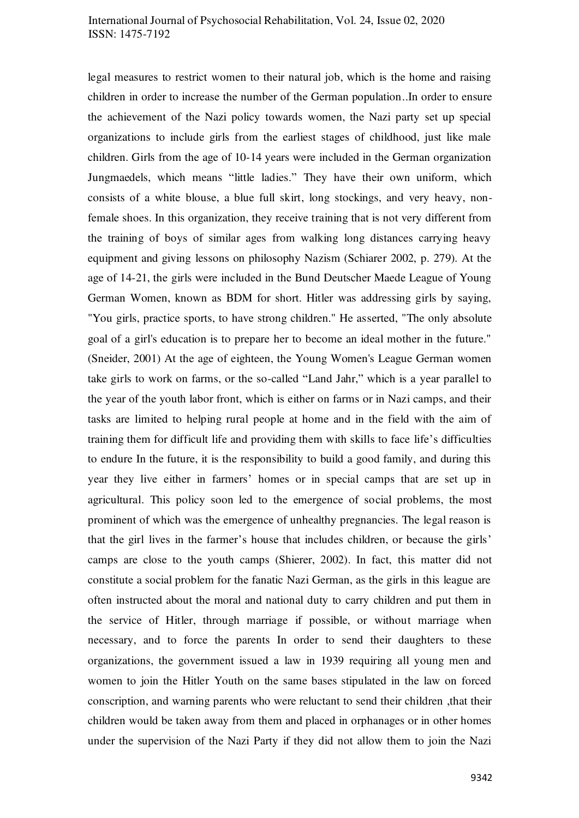legal measures to restrict women to their natural job, which is the home and raising children in order to increase the number of the German population..In order to ensure the achievement of the Nazi policy towards women, the Nazi party set up special organizations to include girls from the earliest stages of childhood, just like male children. Girls from the age of 10-14 years were included in the German organization Jungmaedels, which means "little ladies." They have their own uniform, which consists of a white blouse, a blue full skirt, long stockings, and very heavy, nonfemale shoes. In this organization, they receive training that is not very different from the training of boys of similar ages from walking long distances carrying heavy equipment and giving lessons on philosophy Nazism (Schiarer 2002, p. 279). At the age of 14-21, the girls were included in the Bund Deutscher Maede League of Young German Women, known as BDM for short. Hitler was addressing girls by saying, "You girls, practice sports, to have strong children." He asserted, "The only absolute goal of a girl's education is to prepare her to become an ideal mother in the future." (Sneider, 2001) At the age of eighteen, the Young Women's League German women take girls to work on farms, or the so-called "Land Jahr," which is a year parallel to the year of the youth labor front, which is either on farms or in Nazi camps, and their tasks are limited to helping rural people at home and in the field with the aim of training them for difficult life and providing them with skills to face life's difficulties to endure In the future, it is the responsibility to build a good family, and during this year they live either in farmers' homes or in special camps that are set up in agricultural. This policy soon led to the emergence of social problems, the most prominent of which was the emergence of unhealthy pregnancies. The legal reason is that the girl lives in the farmer's house that includes children, or because the girls' camps are close to the youth camps (Shierer, 2002). In fact, this matter did not constitute a social problem for the fanatic Nazi German, as the girls in this league are often instructed about the moral and national duty to carry children and put them in the service of Hitler, through marriage if possible, or without marriage when necessary, and to force the parents In order to send their daughters to these organizations, the government issued a law in 1939 requiring all young men and women to join the Hitler Youth on the same bases stipulated in the law on forced conscription, and warning parents who were reluctant to send their children ,that their children would be taken away from them and placed in orphanages or in other homes under the supervision of the Nazi Party if they did not allow them to join the Nazi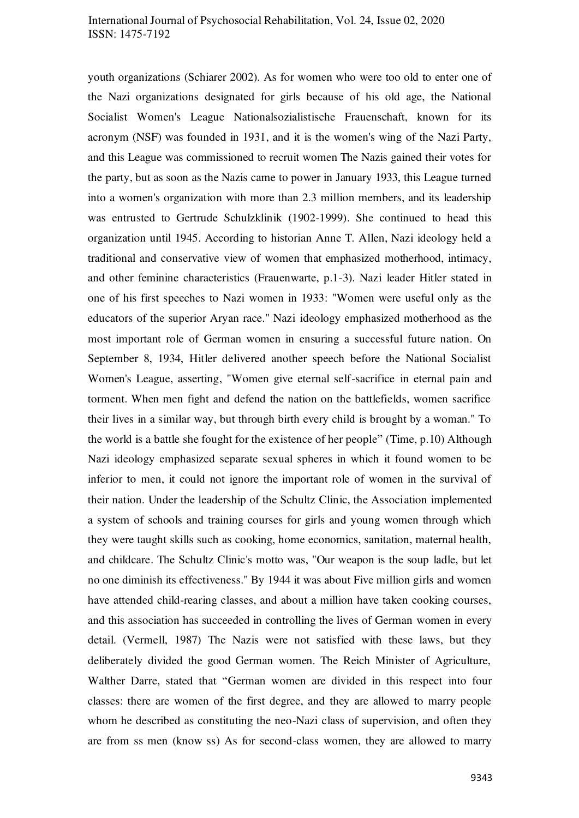youth organizations (Schiarer 2002). As for women who were too old to enter one of the Nazi organizations designated for girls because of his old age, the National Socialist Women's League Nationalsozialistische Frauenschaft, known for its acronym (NSF) was founded in 1931, and it is the women's wing of the Nazi Party, and this League was commissioned to recruit women The Nazis gained their votes for the party, but as soon as the Nazis came to power in January 1933, this League turned into a women's organization with more than 2.3 million members, and its leadership was entrusted to Gertrude Schulzklinik (1902-1999). She continued to head this organization until 1945. According to historian Anne T. Allen, Nazi ideology held a traditional and conservative view of women that emphasized motherhood, intimacy, and other feminine characteristics (Frauenwarte, p.1-3). Nazi leader Hitler stated in one of his first speeches to Nazi women in 1933: "Women were useful only as the educators of the superior Aryan race." Nazi ideology emphasized motherhood as the most important role of German women in ensuring a successful future nation. On September 8, 1934, Hitler delivered another speech before the National Socialist Women's League, asserting, "Women give eternal self-sacrifice in eternal pain and torment. When men fight and defend the nation on the battlefields, women sacrifice their lives in a similar way, but through birth every child is brought by a woman." To the world is a battle she fought for the existence of her people" (Time, p.10) Although Nazi ideology emphasized separate sexual spheres in which it found women to be inferior to men, it could not ignore the important role of women in the survival of their nation. Under the leadership of the Schultz Clinic, the Association implemented a system of schools and training courses for girls and young women through which they were taught skills such as cooking, home economics, sanitation, maternal health, and childcare. The Schultz Clinic's motto was, "Our weapon is the soup ladle, but let no one diminish its effectiveness." By 1944 it was about Five million girls and women have attended child-rearing classes, and about a million have taken cooking courses, and this association has succeeded in controlling the lives of German women in every detail. (Vermell, 1987) The Nazis were not satisfied with these laws, but they deliberately divided the good German women. The Reich Minister of Agriculture, Walther Darre, stated that "German women are divided in this respect into four classes: there are women of the first degree, and they are allowed to marry people whom he described as constituting the neo-Nazi class of supervision, and often they are from ss men (know ss) As for second-class women, they are allowed to marry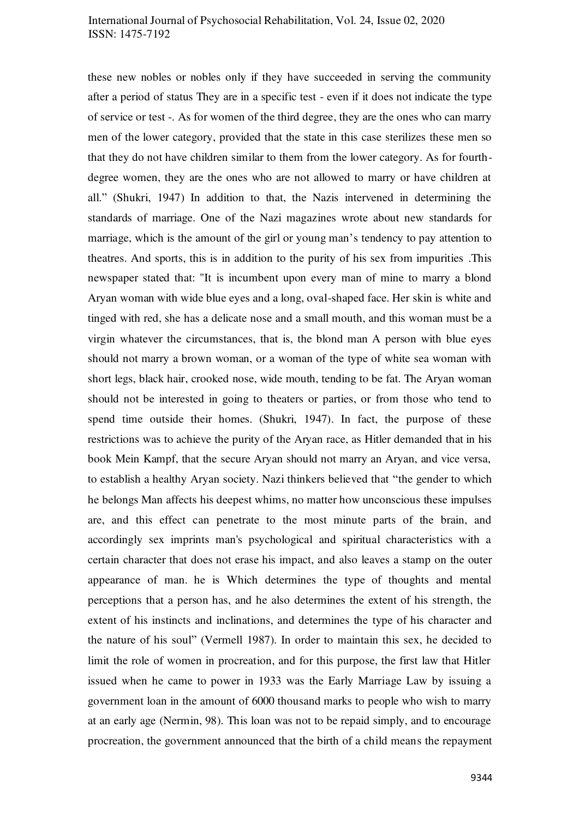these new nobles or nobles only if they have succeeded in serving the community after a period of status They are in a specific test - even if it does not indicate the type of service or test -. As for women of the third degree, they are the ones who can marry men of the lower category, provided that the state in this case sterilizes these men so that they do not have children similar to them from the lower category. As for fourthdegree women, they are the ones who are not allowed to marry or have children at all." (Shukri, 1947) In addition to that, the Nazis intervened in determining the standards of marriage. One of the Nazi magazines wrote about new standards for marriage, which is the amount of the girl or young man's tendency to pay attention to theatres. And sports, this is in addition to the purity of his sex from impurities .This newspaper stated that: "It is incumbent upon every man of mine to marry a blond Aryan woman with wide blue eyes and a long, oval-shaped face. Her skin is white and tinged with red, she has a delicate nose and a small mouth, and this woman must be a virgin whatever the circumstances, that is, the blond man A person with blue eyes should not marry a brown woman, or a woman of the type of white sea woman with short legs, black hair, crooked nose, wide mouth, tending to be fat. The Aryan woman should not be interested in going to theaters or parties, or from those who tend to spend time outside their homes. (Shukri, 1947). In fact, the purpose of these restrictions was to achieve the purity of the Aryan race, as Hitler demanded that in his book Mein Kampf, that the secure Aryan should not marry an Aryan, and vice versa, to establish a healthy Aryan society. Nazi thinkers believed that "the gender to which he belongs Man affects his deepest whims, no matter how unconscious these impulses are, and this effect can penetrate to the most minute parts of the brain, and accordingly sex imprints man's psychological and spiritual characteristics with a certain character that does not erase his impact, and also leaves a stamp on the outer appearance of man. he is Which determines the type of thoughts and mental perceptions that a person has, and he also determines the extent of his strength, the extent of his instincts and inclinations, and determines the type of his character and the nature of his soul" (Vermell 1987). In order to maintain this sex, he decided to limit the role of women in procreation, and for this purpose, the first law that Hitler issued when he came to power in 1933 was the Early Marriage Law by issuing a government loan in the amount of 6000 thousand marks to people who wish to marry at an early age (Nermin, 98). This loan was not to be repaid simply, and to encourage procreation, the government announced that the birth of a child means the repayment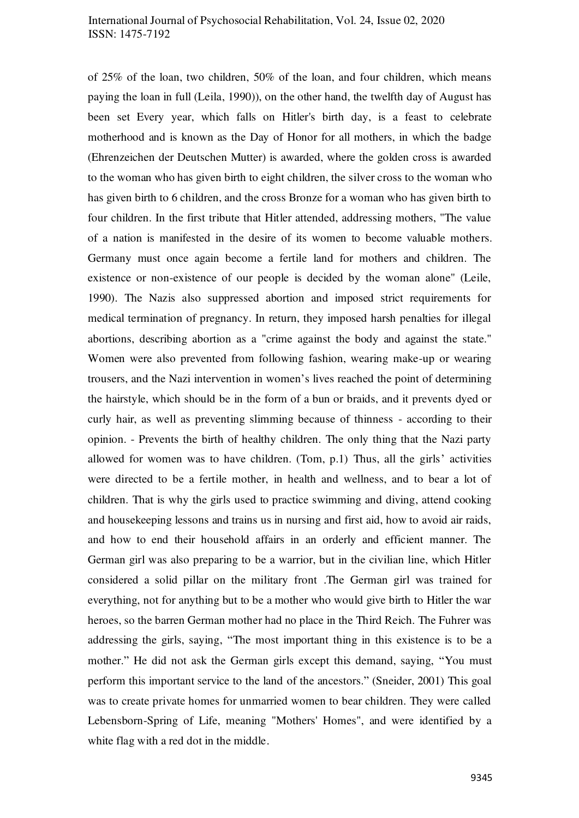of 25% of the loan, two children, 50% of the loan, and four children, which means paying the loan in full (Leila, 1990)), on the other hand, the twelfth day of August has been set Every year, which falls on Hitler's birth day, is a feast to celebrate motherhood and is known as the Day of Honor for all mothers, in which the badge (Ehrenzeichen der Deutschen Mutter) is awarded, where the golden cross is awarded to the woman who has given birth to eight children, the silver cross to the woman who has given birth to 6 children, and the cross Bronze for a woman who has given birth to four children. In the first tribute that Hitler attended, addressing mothers, "The value of a nation is manifested in the desire of its women to become valuable mothers. Germany must once again become a fertile land for mothers and children. The existence or non-existence of our people is decided by the woman alone" (Leile, 1990). The Nazis also suppressed abortion and imposed strict requirements for medical termination of pregnancy. In return, they imposed harsh penalties for illegal abortions, describing abortion as a "crime against the body and against the state." Women were also prevented from following fashion, wearing make-up or wearing trousers, and the Nazi intervention in women's lives reached the point of determining the hairstyle, which should be in the form of a bun or braids, and it prevents dyed or curly hair, as well as preventing slimming because of thinness - according to their opinion. - Prevents the birth of healthy children. The only thing that the Nazi party allowed for women was to have children. (Tom, p.1) Thus, all the girls' activities were directed to be a fertile mother, in health and wellness, and to bear a lot of children. That is why the girls used to practice swimming and diving, attend cooking and housekeeping lessons and trains us in nursing and first aid, how to avoid air raids, and how to end their household affairs in an orderly and efficient manner. The German girl was also preparing to be a warrior, but in the civilian line, which Hitler considered a solid pillar on the military front .The German girl was trained for everything, not for anything but to be a mother who would give birth to Hitler the war heroes, so the barren German mother had no place in the Third Reich. The Fuhrer was addressing the girls, saying, "The most important thing in this existence is to be a mother." He did not ask the German girls except this demand, saying, "You must perform this important service to the land of the ancestors." (Sneider, 2001) This goal was to create private homes for unmarried women to bear children. They were called Lebensborn-Spring of Life, meaning "Mothers' Homes", and were identified by a white flag with a red dot in the middle.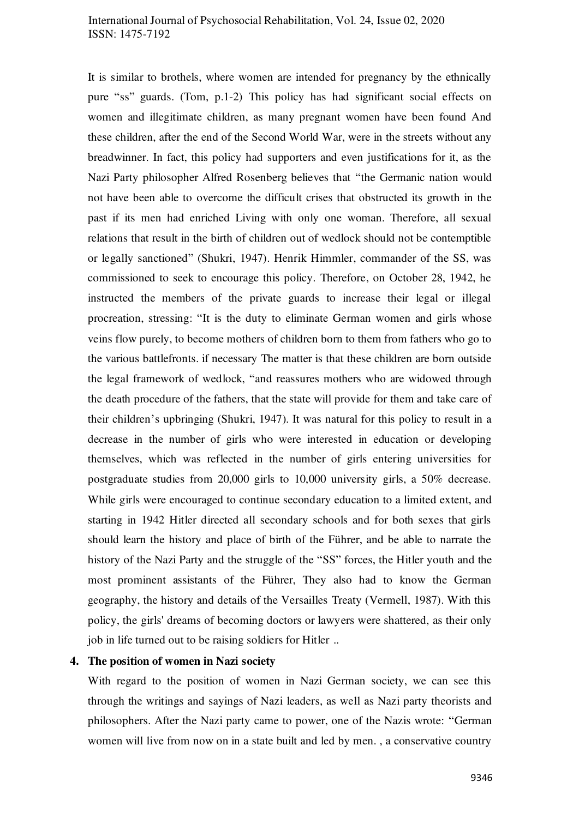It is similar to brothels, where women are intended for pregnancy by the ethnically pure "ss" guards. (Tom, p.1-2) This policy has had significant social effects on women and illegitimate children, as many pregnant women have been found And these children, after the end of the Second World War, were in the streets without any breadwinner. In fact, this policy had supporters and even justifications for it, as the Nazi Party philosopher Alfred Rosenberg believes that "the Germanic nation would not have been able to overcome the difficult crises that obstructed its growth in the past if its men had enriched Living with only one woman. Therefore, all sexual relations that result in the birth of children out of wedlock should not be contemptible or legally sanctioned" (Shukri, 1947). Henrik Himmler, commander of the SS, was commissioned to seek to encourage this policy. Therefore, on October 28, 1942, he instructed the members of the private guards to increase their legal or illegal procreation, stressing: "It is the duty to eliminate German women and girls whose veins flow purely, to become mothers of children born to them from fathers who go to the various battlefronts. if necessary The matter is that these children are born outside the legal framework of wedlock, "and reassures mothers who are widowed through the death procedure of the fathers, that the state will provide for them and take care of their children's upbringing (Shukri, 1947). It was natural for this policy to result in a decrease in the number of girls who were interested in education or developing themselves, which was reflected in the number of girls entering universities for postgraduate studies from 20,000 girls to 10,000 university girls, a 50% decrease. While girls were encouraged to continue secondary education to a limited extent, and starting in 1942 Hitler directed all secondary schools and for both sexes that girls should learn the history and place of birth of the Führer, and be able to narrate the history of the Nazi Party and the struggle of the "SS" forces, the Hitler youth and the most prominent assistants of the Führer, They also had to know the German geography, the history and details of the Versailles Treaty (Vermell, 1987). With this policy, the girls' dreams of becoming doctors or lawyers were shattered, as their only job in life turned out to be raising soldiers for Hitler ..

#### **4. The position of women in Nazi society**

With regard to the position of women in Nazi German society, we can see this through the writings and sayings of Nazi leaders, as well as Nazi party theorists and philosophers. After the Nazi party came to power, one of the Nazis wrote: "German women will live from now on in a state built and led by men. , a conservative country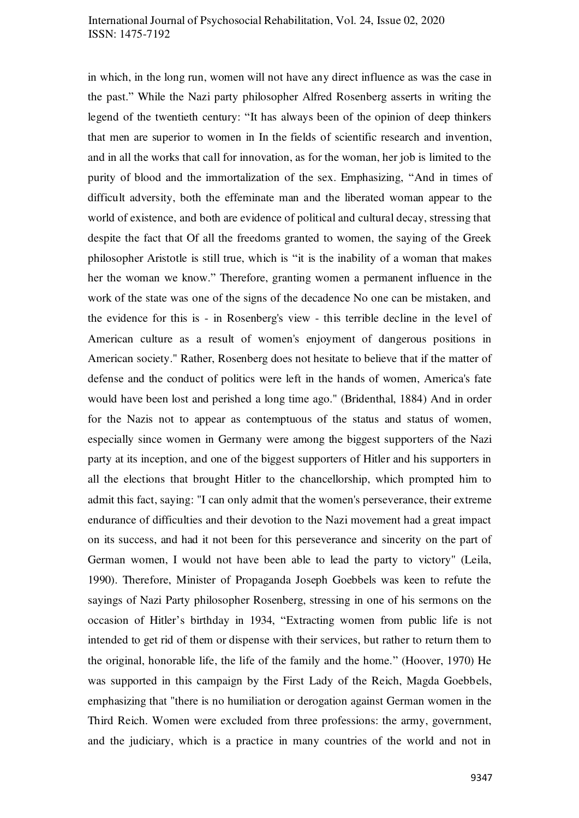in which, in the long run, women will not have any direct influence as was the case in the past." While the Nazi party philosopher Alfred Rosenberg asserts in writing the legend of the twentieth century: "It has always been of the opinion of deep thinkers that men are superior to women in In the fields of scientific research and invention, and in all the works that call for innovation, as for the woman, her job is limited to the purity of blood and the immortalization of the sex. Emphasizing, "And in times of difficult adversity, both the effeminate man and the liberated woman appear to the world of existence, and both are evidence of political and cultural decay, stressing that despite the fact that Of all the freedoms granted to women, the saying of the Greek philosopher Aristotle is still true, which is "it is the inability of a woman that makes her the woman we know." Therefore, granting women a permanent influence in the work of the state was one of the signs of the decadence No one can be mistaken, and the evidence for this is - in Rosenberg's view - this terrible decline in the level of American culture as a result of women's enjoyment of dangerous positions in American society." Rather, Rosenberg does not hesitate to believe that if the matter of defense and the conduct of politics were left in the hands of women, America's fate would have been lost and perished a long time ago." (Bridenthal, 1884) And in order for the Nazis not to appear as contemptuous of the status and status of women, especially since women in Germany were among the biggest supporters of the Nazi party at its inception, and one of the biggest supporters of Hitler and his supporters in all the elections that brought Hitler to the chancellorship, which prompted him to admit this fact, saying: "I can only admit that the women's perseverance, their extreme endurance of difficulties and their devotion to the Nazi movement had a great impact on its success, and had it not been for this perseverance and sincerity on the part of German women, I would not have been able to lead the party to victory" (Leila, 1990). Therefore, Minister of Propaganda Joseph Goebbels was keen to refute the sayings of Nazi Party philosopher Rosenberg, stressing in one of his sermons on the occasion of Hitler's birthday in 1934, "Extracting women from public life is not intended to get rid of them or dispense with their services, but rather to return them to the original, honorable life, the life of the family and the home." (Hoover, 1970) He was supported in this campaign by the First Lady of the Reich, Magda Goebbels, emphasizing that "there is no humiliation or derogation against German women in the Third Reich. Women were excluded from three professions: the army, government, and the judiciary, which is a practice in many countries of the world and not in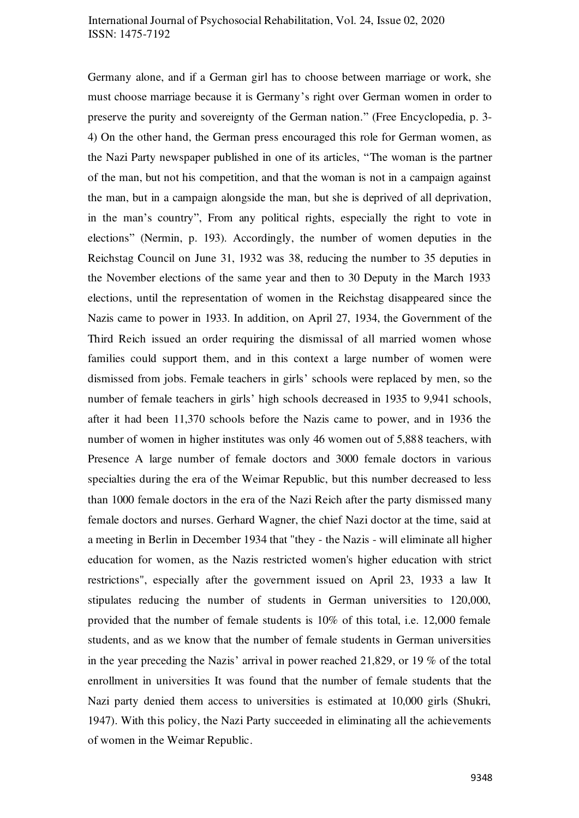Germany alone, and if a German girl has to choose between marriage or work, she must choose marriage because it is Germany's right over German women in order to preserve the purity and sovereignty of the German nation." (Free Encyclopedia, p. 3- 4) On the other hand, the German press encouraged this role for German women, as the Nazi Party newspaper published in one of its articles, "The woman is the partner of the man, but not his competition, and that the woman is not in a campaign against the man, but in a campaign alongside the man, but she is deprived of all deprivation, in the man's country", From any political rights, especially the right to vote in elections" (Nermin, p. 193). Accordingly, the number of women deputies in the Reichstag Council on June 31, 1932 was 38, reducing the number to 35 deputies in the November elections of the same year and then to 30 Deputy in the March 1933 elections, until the representation of women in the Reichstag disappeared since the Nazis came to power in 1933. In addition, on April 27, 1934, the Government of the Third Reich issued an order requiring the dismissal of all married women whose families could support them, and in this context a large number of women were dismissed from jobs. Female teachers in girls' schools were replaced by men, so the number of female teachers in girls' high schools decreased in 1935 to 9,941 schools, after it had been 11,370 schools before the Nazis came to power, and in 1936 the number of women in higher institutes was only 46 women out of 5,888 teachers, with Presence A large number of female doctors and 3000 female doctors in various specialties during the era of the Weimar Republic, but this number decreased to less than 1000 female doctors in the era of the Nazi Reich after the party dismissed many female doctors and nurses. Gerhard Wagner, the chief Nazi doctor at the time, said at a meeting in Berlin in December 1934 that "they - the Nazis - will eliminate all higher education for women, as the Nazis restricted women's higher education with strict restrictions", especially after the government issued on April 23, 1933 a law It stipulates reducing the number of students in German universities to 120,000, provided that the number of female students is 10% of this total, i.e. 12,000 female students, and as we know that the number of female students in German universities in the year preceding the Nazis' arrival in power reached 21,829, or 19 % of the total enrollment in universities It was found that the number of female students that the Nazi party denied them access to universities is estimated at 10,000 girls (Shukri, 1947). With this policy, the Nazi Party succeeded in eliminating all the achievements of women in the Weimar Republic.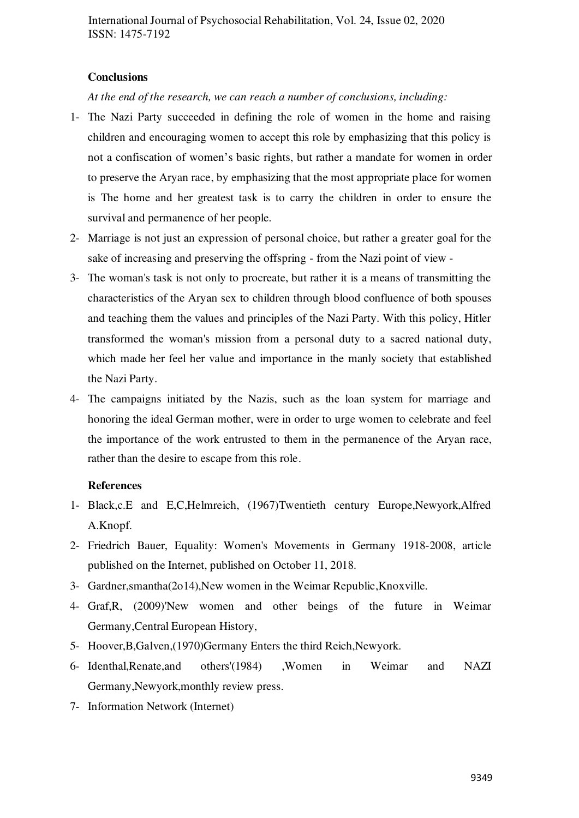## **Conclusions**

*At the end of the research, we can reach a number of conclusions, including:* 

- 1- The Nazi Party succeeded in defining the role of women in the home and raising children and encouraging women to accept this role by emphasizing that this policy is not a confiscation of women's basic rights, but rather a mandate for women in order to preserve the Aryan race, by emphasizing that the most appropriate place for women is The home and her greatest task is to carry the children in order to ensure the survival and permanence of her people.
- 2- Marriage is not just an expression of personal choice, but rather a greater goal for the sake of increasing and preserving the offspring - from the Nazi point of view -
- 3- The woman's task is not only to procreate, but rather it is a means of transmitting the characteristics of the Aryan sex to children through blood confluence of both spouses and teaching them the values and principles of the Nazi Party. With this policy, Hitler transformed the woman's mission from a personal duty to a sacred national duty, which made her feel her value and importance in the manly society that established the Nazi Party.
- 4- The campaigns initiated by the Nazis, such as the loan system for marriage and honoring the ideal German mother, were in order to urge women to celebrate and feel the importance of the work entrusted to them in the permanence of the Aryan race, rather than the desire to escape from this role.

#### **References**

- 1- Black,c.E and E,C,Helmreich, (1967)Twentieth century Europe,Newyork,Alfred A.Knopf.
- 2- Friedrich Bauer, Equality: Women's Movements in Germany 1918-2008, article published on the Internet, published on October 11, 2018.
- 3- Gardner,smantha(2o14),New women in the Weimar Republic,Knoxville.
- 4- Graf,R, (2009)'New women and other beings of the future in Weimar Germany,Central European History,
- 5- Hoover,B,Galven,(1970)Germany Enters the third Reich,Newyork.
- 6- Identhal,Renate,and others'(1984) ,Women in Weimar and NAZI Germany,Newyork,monthly review press.
- 7- Information Network (Internet)